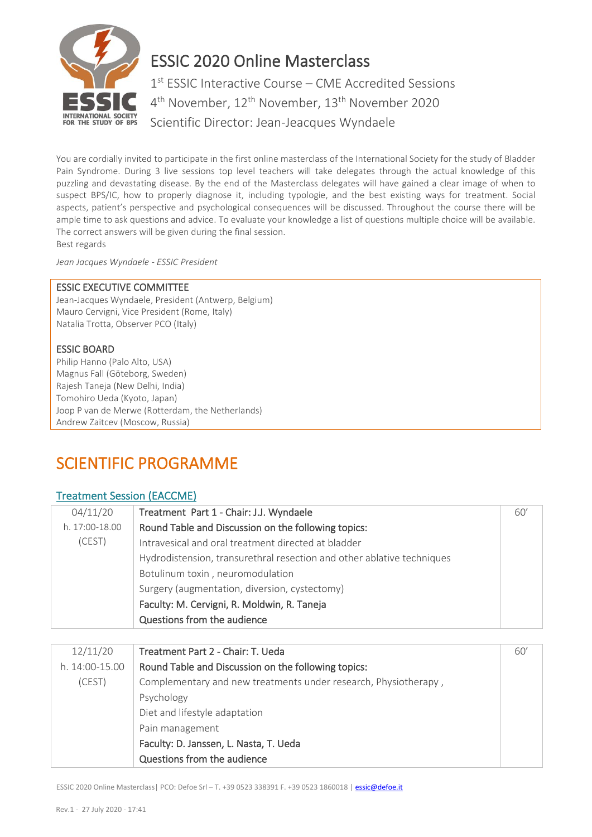

# ESSIC 2020 Online Masterclass

1<sup>st</sup> ESSIC Interactive Course - CME Accredited Sessions 4<sup>th</sup> November, 12<sup>th</sup> November, 13<sup>th</sup> November 2020 Scientific Director: Jean-Jeacques Wyndaele

You are cordially invited to participate in the first online masterclass of the International Society for the study of Bladder Pain Syndrome. During 3 live sessions top level teachers will take delegates through the actual knowledge of this puzzling and devastating disease. By the end of the Masterclass delegates will have gained a clear image of when to suspect BPS/IC, how to properly diagnose it, including typologie, and the best existing ways for treatment. Social aspects, patient's perspective and psychological consequences will be discussed. Throughout the course there will be ample time to ask questions and advice. To evaluate your knowledge a list of questions multiple choice will be available. The correct answers will be given during the final session. Best regards

*Jean Jacques Wyndaele - ESSIC President*

#### ESSIC EXECUTIVE COMMITTEE

Jean-Jacques Wyndaele, President (Antwerp, Belgium) Mauro Cervigni, Vice President (Rome, Italy) Natalia Trotta, Observer PCO (Italy)

### ESSIC BOARD

Philip Hanno (Palo Alto, USA) Magnus Fall (Göteborg, Sweden) Rajesh Taneja (New Delhi, India) Tomohiro Ueda (Kyoto, Japan) Joop P van de Merwe (Rotterdam, the Netherlands) Andrew Zaitcev (Moscow, Russia)

## SCIENTIFIC PROGRAMME

## Treatment Session (EACCME)

| 04/11/20       | Treatment Part 1 - Chair: J.J. Wyndaele                                | 60' |
|----------------|------------------------------------------------------------------------|-----|
| h. 17:00-18.00 | Round Table and Discussion on the following topics:                    |     |
| (CEST)         | Intravesical and oral treatment directed at bladder                    |     |
|                | Hydrodistension, transurethral resection and other ablative techniques |     |
|                | Botulinum toxin, neuromodulation                                       |     |
|                | Surgery (augmentation, diversion, cystectomy)                          |     |
|                | Faculty: M. Cervigni, R. Moldwin, R. Taneja                            |     |
|                | Questions from the audience                                            |     |

| 12/11/20<br>Treatment Part 2 - Chair: T. Ueda                             | 60' |
|---------------------------------------------------------------------------|-----|
| Round Table and Discussion on the following topics:<br>$h. 14:00-15.00$   |     |
| Complementary and new treatments under research, Physiotherapy,<br>(CEST) |     |
| Psychology                                                                |     |
| Diet and lifestyle adaptation                                             |     |
| Pain management                                                           |     |
| Faculty: D. Janssen, L. Nasta, T. Ueda                                    |     |
| Questions from the audience                                               |     |

ESSIC 2020 Online Masterclass| PCO: Defoe Srl – T. +39 0523 338391 F. +39 0523 1860018 [| essic@defoe.it](mailto:essic@defoe.it)